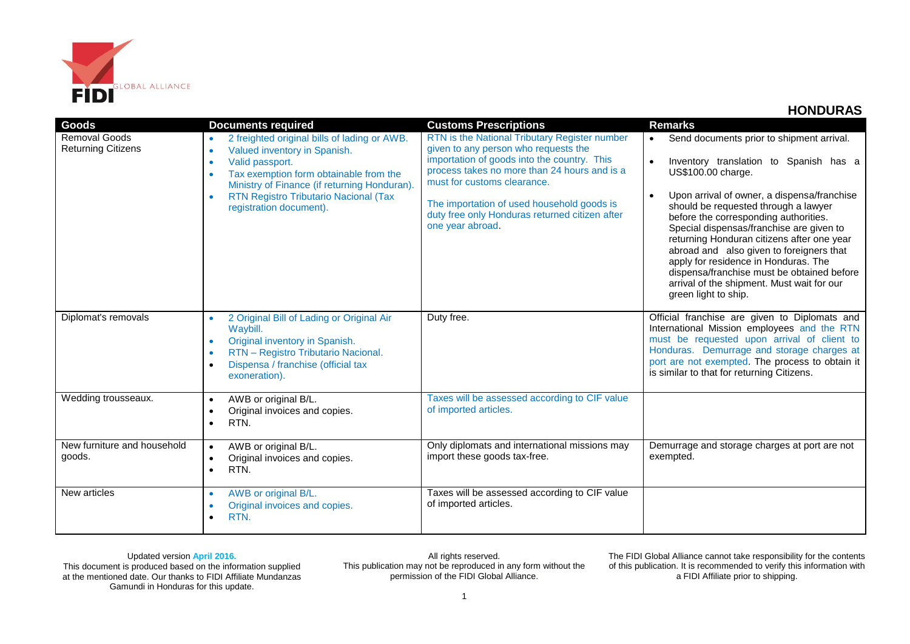

| Goods                                             | <b>Documents required</b>                                                                                                                                                                                                                                                                                                | <b>Customs Prescriptions</b>                                                                                                                                                                                                                                                                                                            | <b>Remarks</b>                                                                                                                                                                                                                                                                                                                                                                                                                                                                                                                                           |
|---------------------------------------------------|--------------------------------------------------------------------------------------------------------------------------------------------------------------------------------------------------------------------------------------------------------------------------------------------------------------------------|-----------------------------------------------------------------------------------------------------------------------------------------------------------------------------------------------------------------------------------------------------------------------------------------------------------------------------------------|----------------------------------------------------------------------------------------------------------------------------------------------------------------------------------------------------------------------------------------------------------------------------------------------------------------------------------------------------------------------------------------------------------------------------------------------------------------------------------------------------------------------------------------------------------|
| <b>Removal Goods</b><br><b>Returning Citizens</b> | 2 freighted original bills of lading or AWB.<br>$\bullet$<br>Valued inventory in Spanish.<br>$\bullet$<br>Valid passport.<br>$\bullet$<br>Tax exemption form obtainable from the<br>$\bullet$<br>Ministry of Finance (if returning Honduran).<br><b>RTN Registro Tributario Nacional (Tax</b><br>registration document). | RTN is the National Tributary Register number<br>given to any person who requests the<br>importation of goods into the country. This<br>process takes no more than 24 hours and is a<br>must for customs clearance.<br>The importation of used household goods is<br>duty free only Honduras returned citizen after<br>one year abroad. | Send documents prior to shipment arrival.<br>$\bullet$<br>Inventory translation to Spanish has a<br>US\$100.00 charge.<br>Upon arrival of owner, a dispensa/franchise<br>should be requested through a lawyer<br>before the corresponding authorities.<br>Special dispensas/franchise are given to<br>returning Honduran citizens after one year<br>abroad and also given to foreigners that<br>apply for residence in Honduras. The<br>dispensa/franchise must be obtained before<br>arrival of the shipment. Must wait for our<br>green light to ship. |
| Diplomat's removals                               | 2 Original Bill of Lading or Original Air<br>Waybill.<br>Original inventory in Spanish.<br>$\bullet$<br>RTN - Registro Tributario Nacional.<br>$\bullet$<br>Dispensa / franchise (official tax<br>$\bullet$<br>exoneration).                                                                                             | Duty free.                                                                                                                                                                                                                                                                                                                              | Official franchise are given to Diplomats and<br>International Mission employees and the RTN<br>must be requested upon arrival of client to<br>Honduras. Demurrage and storage charges at<br>port are not exempted. The process to obtain it<br>is similar to that for returning Citizens.                                                                                                                                                                                                                                                               |
| Wedding trousseaux.                               | AWB or original B/L.<br>$\bullet$<br>Original invoices and copies.<br>$\bullet$<br>RTN.<br>$\bullet$                                                                                                                                                                                                                     | Taxes will be assessed according to CIF value<br>of imported articles.                                                                                                                                                                                                                                                                  |                                                                                                                                                                                                                                                                                                                                                                                                                                                                                                                                                          |
| New furniture and household<br>goods.             | AWB or original B/L.<br>$\bullet$<br>Original invoices and copies.<br>$\bullet$<br>RTN.<br>$\bullet$                                                                                                                                                                                                                     | Only diplomats and international missions may<br>import these goods tax-free.                                                                                                                                                                                                                                                           | Demurrage and storage charges at port are not<br>exempted.                                                                                                                                                                                                                                                                                                                                                                                                                                                                                               |
| New articles                                      | AWB or original B/L.<br>$\bullet$<br>Original invoices and copies.<br>$\bullet$<br>RTN.                                                                                                                                                                                                                                  | Taxes will be assessed according to CIF value<br>of imported articles.                                                                                                                                                                                                                                                                  |                                                                                                                                                                                                                                                                                                                                                                                                                                                                                                                                                          |

Updated version **April 2016.** This document is produced based on the information supplied at the mentioned date. Our thanks to FIDI Affiliate Mundanzas Gamundi in Honduras for this update.

All rights reserved. This publication may not be reproduced in any form without the permission of the FIDI Global Alliance.

The FIDI Global Alliance cannot take responsibility for the contents of this publication. It is recommended to verify this information with a FIDI Affiliate prior to shipping.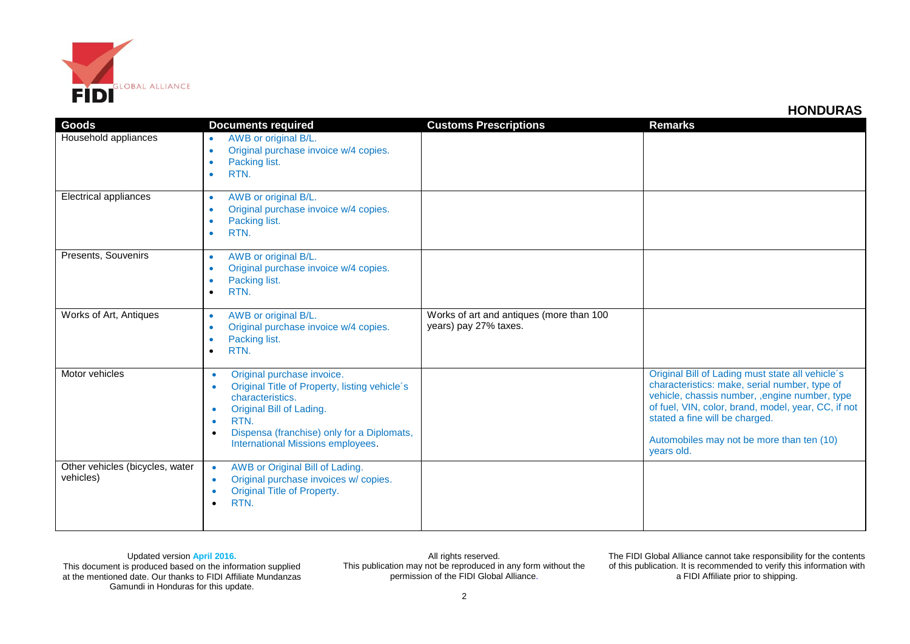

| Goods                                        | <b>Documents required</b>                                                                                                                                                                                                                                                  | <b>Customs Prescriptions</b>                                      | <b>Remarks</b>                                                                                                                                                                                                                                                                                          |
|----------------------------------------------|----------------------------------------------------------------------------------------------------------------------------------------------------------------------------------------------------------------------------------------------------------------------------|-------------------------------------------------------------------|---------------------------------------------------------------------------------------------------------------------------------------------------------------------------------------------------------------------------------------------------------------------------------------------------------|
| Household appliances                         | AWB or original B/L.<br>$\bullet$<br>Original purchase invoice w/4 copies.<br>$\bullet$<br>Packing list.<br>$\bullet$<br>RTN.<br>$\bullet$                                                                                                                                 |                                                                   |                                                                                                                                                                                                                                                                                                         |
| <b>Electrical appliances</b>                 | AWB or original B/L.<br>$\bullet$<br>Original purchase invoice w/4 copies.<br>$\bullet$<br>Packing list.<br>$\bullet$<br>RTN.<br>$\bullet$                                                                                                                                 |                                                                   |                                                                                                                                                                                                                                                                                                         |
| Presents, Souvenirs                          | AWB or original B/L.<br>$\bullet$<br>Original purchase invoice w/4 copies.<br>$\bullet$<br>Packing list.<br>$\bullet$<br>RTN.<br>$\bullet$                                                                                                                                 |                                                                   |                                                                                                                                                                                                                                                                                                         |
| Works of Art, Antiques                       | AWB or original B/L.<br>$\bullet$<br>Original purchase invoice w/4 copies.<br>$\bullet$<br>Packing list.<br>$\bullet$<br>RTN.<br>$\bullet$                                                                                                                                 | Works of art and antiques (more than 100<br>years) pay 27% taxes. |                                                                                                                                                                                                                                                                                                         |
| Motor vehicles                               | Original purchase invoice.<br>$\bullet$<br>Original Title of Property, listing vehicle's<br>$\bullet$<br>characteristics.<br>Original Bill of Lading.<br>RTN.<br>$\bullet$<br>Dispensa (franchise) only for a Diplomats,<br>$\bullet$<br>International Missions employees. |                                                                   | Original Bill of Lading must state all vehicle's<br>characteristics: make, serial number, type of<br>vehicle, chassis number, , engine number, type<br>of fuel, VIN, color, brand, model, year, CC, if not<br>stated a fine will be charged.<br>Automobiles may not be more than ten (10)<br>years old. |
| Other vehicles (bicycles, water<br>vehicles) | AWB or Original Bill of Lading.<br>$\bullet$<br>Original purchase invoices w/ copies.<br>$\bullet$<br>Original Title of Property.<br>RTN.                                                                                                                                  |                                                                   |                                                                                                                                                                                                                                                                                                         |

## Updated version **April 2016.**

This document is produced based on the information supplied at the mentioned date. Our thanks to FIDI Affiliate Mundanzas Gamundi in Honduras for this update.

All rights reserved. This publication may not be reproduced in any form without the permission of the FIDI Global Alliance.

The FIDI Global Alliance cannot take responsibility for the contents of this publication. It is recommended to verify this information with a FIDI Affiliate prior to shipping.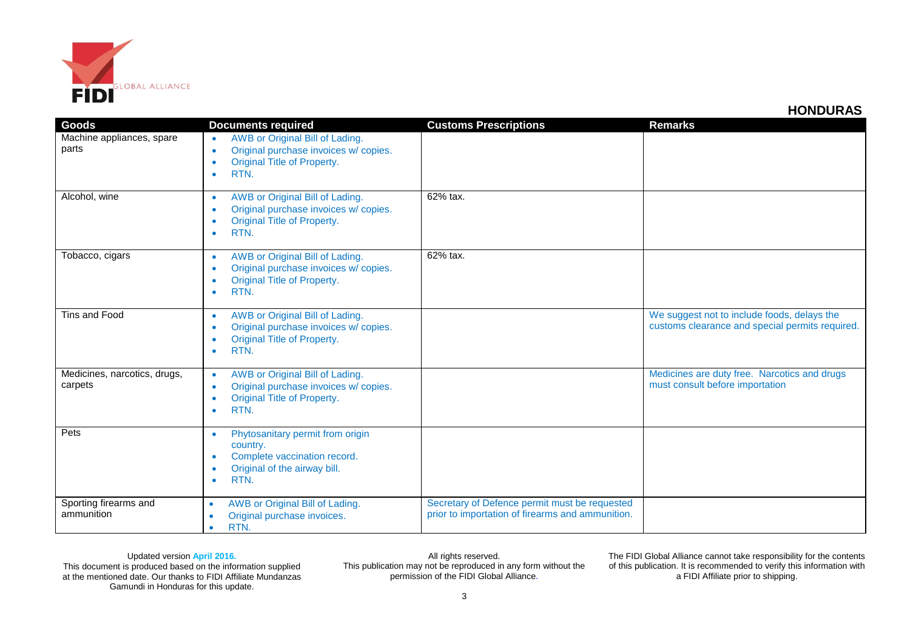

| <b>Goods</b>                            | <b>Documents required</b>                                                                                                                                                  | <b>Customs Prescriptions</b>                                                                      | <b>Remarks</b>                                                                                 |
|-----------------------------------------|----------------------------------------------------------------------------------------------------------------------------------------------------------------------------|---------------------------------------------------------------------------------------------------|------------------------------------------------------------------------------------------------|
| Machine appliances, spare<br>parts      | AWB or Original Bill of Lading.<br>$\bullet$<br>Original purchase invoices w/ copies.<br>$\bullet$<br><b>Original Title of Property.</b><br>$\bullet$<br>RTN.<br>$\bullet$ |                                                                                                   |                                                                                                |
| Alcohol, wine                           | AWB or Original Bill of Lading.<br>$\bullet$<br>Original purchase invoices w/ copies.<br>$\bullet$<br>Original Title of Property.<br>$\bullet$<br>RTN.<br>$\bullet$        | 62% tax.                                                                                          |                                                                                                |
| Tobacco, cigars                         | AWB or Original Bill of Lading.<br>$\bullet$<br>Original purchase invoices w/ copies.<br>$\bullet$<br>Original Title of Property.<br>$\bullet$<br>RTN.<br>$\bullet$        | 62% tax.                                                                                          |                                                                                                |
| Tins and Food                           | AWB or Original Bill of Lading.<br>$\bullet$<br>Original purchase invoices w/ copies.<br>$\bullet$<br>Original Title of Property.<br>٠<br>RTN.<br>٠                        |                                                                                                   | We suggest not to include foods, delays the<br>customs clearance and special permits required. |
| Medicines, narcotics, drugs,<br>carpets | AWB or Original Bill of Lading.<br>$\bullet$<br>Original purchase invoices w/ copies.<br>$\bullet$<br><b>Original Title of Property.</b><br>$\bullet$<br>RTN.<br>$\bullet$ |                                                                                                   | Medicines are duty free. Narcotics and drugs<br>must consult before importation                |
| Pets                                    | Phytosanitary permit from origin<br>$\bullet$<br>country.<br>Complete vaccination record.<br>$\bullet$<br>Original of the airway bill.<br>$\bullet$<br>RTN.<br>$\bullet$   |                                                                                                   |                                                                                                |
| Sporting firearms and<br>ammunition     | AWB or Original Bill of Lading.<br>$\bullet$<br>Original purchase invoices.<br>$\bullet$<br>RTN.<br>$\bullet$                                                              | Secretary of Defence permit must be requested<br>prior to importation of firearms and ammunition. |                                                                                                |

Updated version **April 2016.** This document is produced based on the information supplied at the mentioned date. Our thanks to FIDI Affiliate Mundanzas Gamundi in Honduras for this update.

All rights reserved. This publication may not be reproduced in any form without the permission of the FIDI Global Alliance.

The FIDI Global Alliance cannot take responsibility for the contents of this publication. It is recommended to verify this information with a FIDI Affiliate prior to shipping.